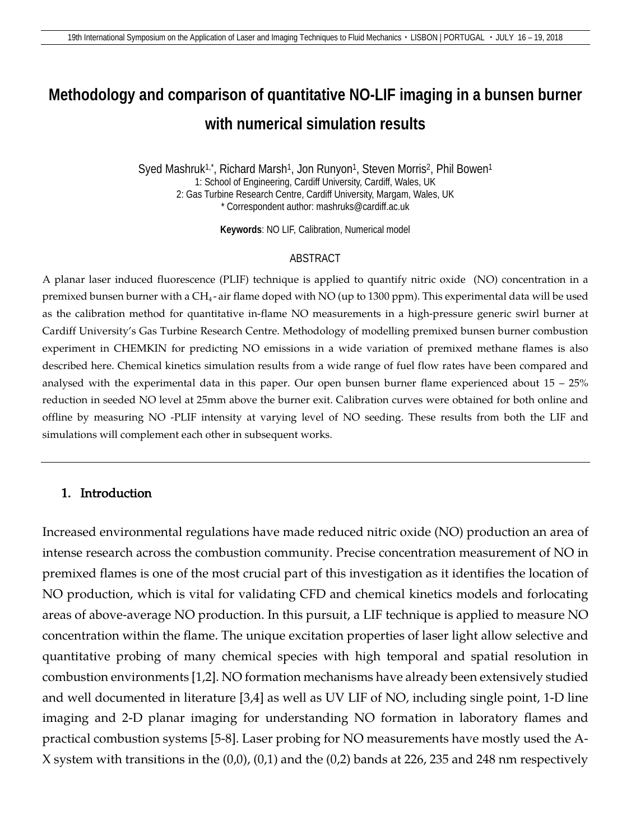# **Methodology and comparison of quantitative NO-LIF imaging in a bunsen burner with numerical simulation results**

Syed Mashruk<sup>1,\*</sup>, Richard Marsh<sup>1</sup>, Jon Runyon<sup>1</sup>, Steven Morris<sup>2</sup>, Phil Bowen<sup>1</sup> 1: School of Engineering, Cardiff University, Cardiff, Wales, UK 2: Gas Turbine Research Centre, Cardiff University, Margam, Wales, UK \* Correspondent author: mashruks@cardiff.ac.uk

**Keywords**: NO LIF, Calibration, Numerical model

#### ABSTRACT

A planar laser induced fluorescence (PLIF) technique is applied to quantify nitric oxide (NO) concentration in a premixed bunsen burner with a CH4 - air flame doped with NO (up to 1300 ppm). This experimental data will be used as the calibration method for quantitative in-flame NO measurements in a high-pressure generic swirl burner at Cardiff University's Gas Turbine Research Centre. Methodology of modelling premixed bunsen burner combustion experiment in CHEMKIN for predicting NO emissions in a wide variation of premixed methane flames is also described here. Chemical kinetics simulation results from a wide range of fuel flow rates have been compared and analysed with the experimental data in this paper. Our open bunsen burner flame experienced about  $15 - 25%$ reduction in seeded NO level at 25mm above the burner exit. Calibration curves were obtained for both online and offline by measuring NO -PLIF intensity at varying level of NO seeding. These results from both the LIF and simulations will complement each other in subsequent works.

#### 1. Introduction

Increased environmental regulations have made reduced nitric oxide (NO) production an area of intense research across the combustion community. Precise concentration measurement of NO in premixed flames is one of the most crucial part of this investigation as it identifies the location of NO production, which is vital for validating CFD and chemical kinetics models and forlocating areas of above-average NO production. In this pursuit, a LIF technique is applied to measure NO concentration within the flame. The unique excitation properties of laser light allow selective and quantitative probing of many chemical species with high temporal and spatial resolution in combustion environments [1,2]. NO formation mechanisms have already been extensively studied and well documented in literature [3,4] as well as UV LIF of NO, including single point, 1-D line imaging and 2-D planar imaging for understanding NO formation in laboratory flames and practical combustion systems [5-8]. Laser probing for NO measurements have mostly used the A-X system with transitions in the (0,0), (0,1) and the (0,2) bands at 226, 235 and 248 nm respectively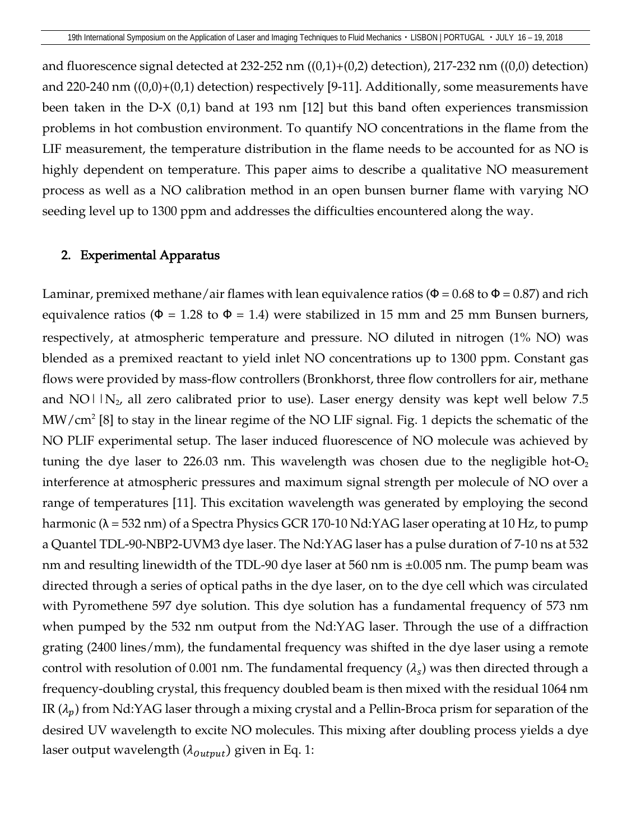and fluorescence signal detected at 232-252 nm  $((0,1)+(0,2)$  detection), 217-232 nm  $((0,0)$  detection) and 220-240 nm ((0,0)+(0,1) detection) respectively [9-11]. Additionally, some measurements have been taken in the D-X (0,1) band at 193 nm [12] but this band often experiences transmission problems in hot combustion environment. To quantify NO concentrations in the flame from the LIF measurement, the temperature distribution in the flame needs to be accounted for as NO is highly dependent on temperature. This paper aims to describe a qualitative NO measurement process as well as a NO calibration method in an open bunsen burner flame with varying NO seeding level up to 1300 ppm and addresses the difficulties encountered along the way.

#### 2. Experimental Apparatus

Laminar, premixed methane/air flames with lean equivalence ratios ( $\Phi$  = 0.68 to  $\Phi$  = 0.87) and rich equivalence ratios ( $\Phi = 1.28$  to  $\Phi = 1.4$ ) were stabilized in 15 mm and 25 mm Bunsen burners, respectively, at atmospheric temperature and pressure. NO diluted in nitrogen (1% NO) was blended as a premixed reactant to yield inlet NO concentrations up to 1300 ppm. Constant gas flows were provided by mass-flow controllers (Bronkhorst, three flow controllers for air, methane and NO $\mid$   $\mid$   $N_2$ , all zero calibrated prior to use). Laser energy density was kept well below 7.5  $MW/cm<sup>2</sup> [8]$  to stay in the linear regime of the NO LIF signal. Fig. 1 depicts the schematic of the NO PLIF experimental setup. The laser induced fluorescence of NO molecule was achieved by tuning the dye laser to 226.03 nm. This wavelength was chosen due to the negligible hot- $O<sub>2</sub>$ interference at atmospheric pressures and maximum signal strength per molecule of NO over a range of temperatures [11]. This excitation wavelength was generated by employing the second harmonic (λ = 532 nm) of a Spectra Physics GCR 170-10 Nd:YAG laser operating at 10 Hz, to pump a Quantel TDL-90-NBP2-UVM3 dye laser. The Nd:YAG laser has a pulse duration of 7-10 ns at 532 nm and resulting linewidth of the TDL-90 dye laser at 560 nm is ±0.005 nm. The pump beam was directed through a series of optical paths in the dye laser, on to the dye cell which was circulated with Pyromethene 597 dye solution. This dye solution has a fundamental frequency of 573 nm when pumped by the 532 nm output from the Nd:YAG laser. Through the use of a diffraction grating (2400 lines/mm), the fundamental frequency was shifted in the dye laser using a remote control with resolution of 0.001 nm. The fundamental frequency  $(\lambda_s)$  was then directed through a frequency-doubling crystal, this frequency doubled beam is then mixed with the residual 1064 nm IR  $(\lambda_p)$  from Nd:YAG laser through a mixing crystal and a Pellin-Broca prism for separation of the desired UV wavelength to excite NO molecules. This mixing after doubling process yields a dye laser output wavelength  $(\lambda_{\text{output}})$  given in Eq. 1: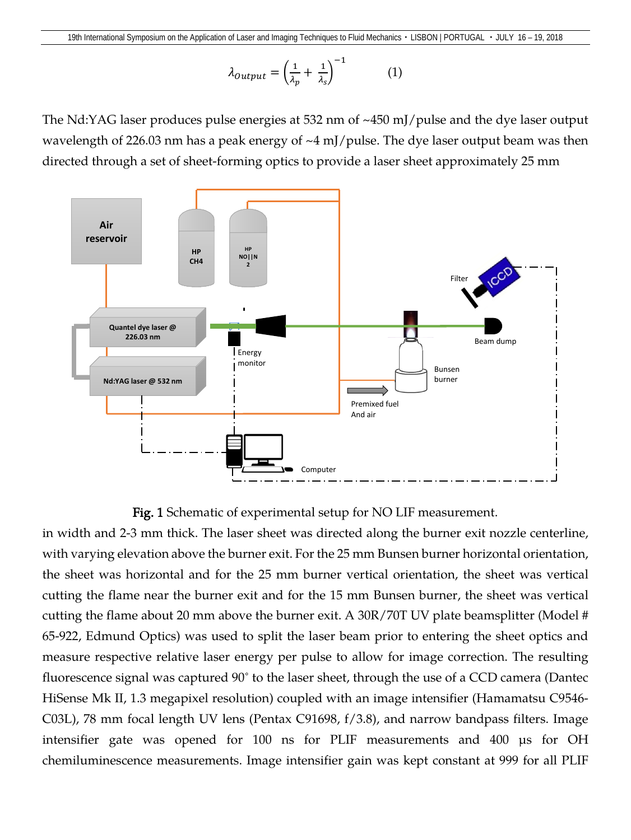$$
\lambda_{Output} = \left(\frac{1}{\lambda_p} + \frac{1}{\lambda_s}\right)^{-1} \tag{1}
$$

The Nd:YAG laser produces pulse energies at 532 nm of  $\sim$ 450 mJ/pulse and the dye laser output wavelength of 226.03 nm has a peak energy of ~4 mJ/pulse. The dye laser output beam was then directed through a set of sheet-forming optics to provide a laser sheet approximately 25 mm



Fig. 1 Schematic of experimental setup for NO LIF measurement.

in width and 2-3 mm thick. The laser sheet was directed along the burner exit nozzle centerline, with varying elevation above the burner exit. For the 25 mm Bunsen burner horizontal orientation, the sheet was horizontal and for the 25 mm burner vertical orientation, the sheet was vertical cutting the flame near the burner exit and for the 15 mm Bunsen burner, the sheet was vertical cutting the flame about 20 mm above the burner exit. A 30R/70T UV plate beamsplitter (Model # 65-922, Edmund Optics) was used to split the laser beam prior to entering the sheet optics and measure respective relative laser energy per pulse to allow for image correction. The resulting fluorescence signal was captured 90° to the laser sheet, through the use of a CCD camera (Dantec HiSense Mk II, 1.3 megapixel resolution) coupled with an image intensifier (Hamamatsu C9546- C03L), 78 mm focal length UV lens (Pentax C91698, f/3.8), and narrow bandpass filters. Image intensifier gate was opened for 100 ns for PLIF measurements and 400 µs for OH chemiluminescence measurements. Image intensifier gain was kept constant at 999 for all PLIF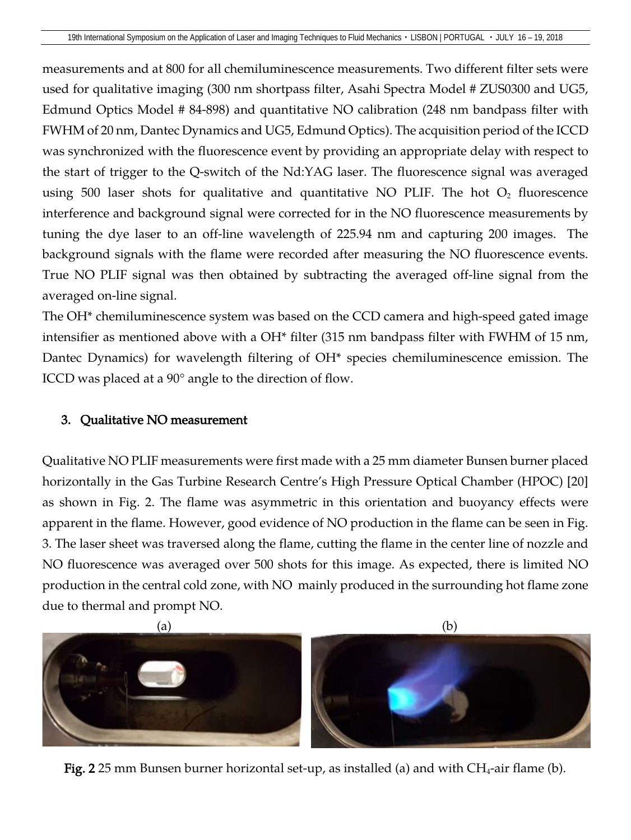measurements and at 800 for all chemiluminescence measurements. Two different filter sets were used for qualitative imaging (300 nm shortpass filter, Asahi Spectra Model # ZUS0300 and UG5, Edmund Optics Model # 84-898) and quantitative NO calibration (248 nm bandpass filter with FWHM of 20 nm, Dantec Dynamics and UG5, Edmund Optics). The acquisition period of the ICCD was synchronized with the fluorescence event by providing an appropriate delay with respect to the start of trigger to the Q-switch of the Nd:YAG laser. The fluorescence signal was averaged using 500 laser shots for qualitative and quantitative NO PLIF. The hot  $O_2$  fluorescence interference and background signal were corrected for in the NO fluorescence measurements by tuning the dye laser to an off-line wavelength of 225.94 nm and capturing 200 images. The background signals with the flame were recorded after measuring the NO fluorescence events. True NO PLIF signal was then obtained by subtracting the averaged off-line signal from the averaged on-line signal.

The OH\* chemiluminescence system was based on the CCD camera and high-speed gated image intensifier as mentioned above with a OH<sup>\*</sup> filter (315 nm bandpass filter with FWHM of 15 nm, Dantec Dynamics) for wavelength filtering of OH\* species chemiluminescence emission. The ICCD was placed at a 90º angle to the direction of flow.

### 3. Qualitative NO measurement

Qualitative NO PLIF measurements were first made with a 25 mm diameter Bunsen burner placed horizontally in the Gas Turbine Research Centre's High Pressure Optical Chamber (HPOC) [20] as shown in Fig. 2. The flame was asymmetric in this orientation and buoyancy effects were apparent in the flame. However, good evidence of NO production in the flame can be seen in Fig. 3. The laser sheet was traversed along the flame, cutting the flame in the center line of nozzle and NO fluorescence was averaged over 500 shots for this image. As expected, there is limited NO production in the central cold zone, with NO mainly produced in the surrounding hot flame zone due to thermal and prompt NO.



Fig. 2 25 mm Bunsen burner horizontal set-up, as installed (a) and with  $CH_4$ -air flame (b).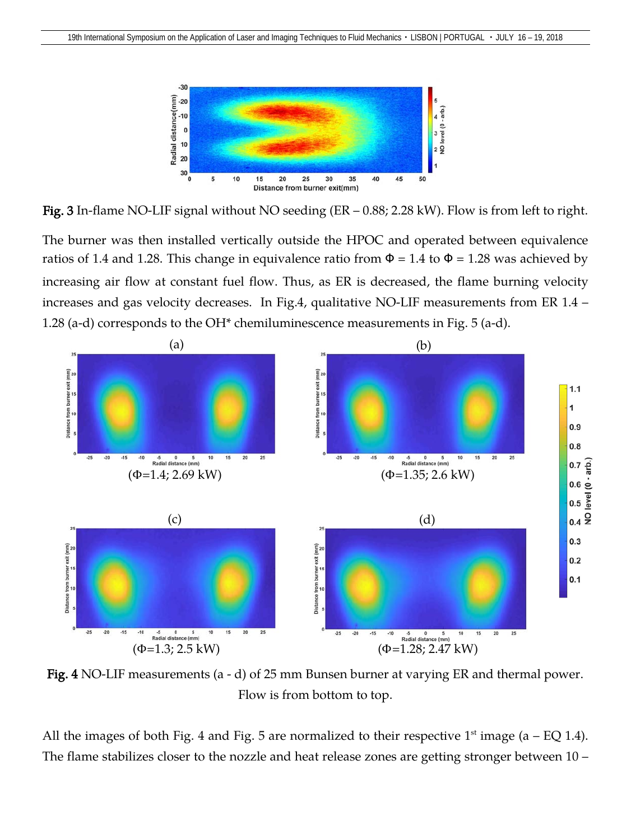

Fig. 3 In-flame NO-LIF signal without NO seeding (ER – 0.88; 2.28 kW). Flow is from left to right.

The burner was then installed vertically outside the HPOC and operated between equivalence ratios of 1.4 and 1.28. This change in equivalence ratio from  $\Phi = 1.4$  to  $\Phi = 1.28$  was achieved by increasing air flow at constant fuel flow. Thus, as ER is decreased, the flame burning velocity increases and gas velocity decreases. In Fig.4, qualitative NO-LIF measurements from ER 1.4 – 1.28 (a-d) corresponds to the OH\* chemiluminescence measurements in Fig. 5 (a-d).



Fig. 4 NO-LIF measurements (a - d) of 25 mm Bunsen burner at varying ER and thermal power. Flow is from bottom to top.

All the images of both Fig. 4 and Fig. 5 are normalized to their respective  $1<sup>st</sup>$  image (a – EQ 1.4). The flame stabilizes closer to the nozzle and heat release zones are getting stronger between 10 –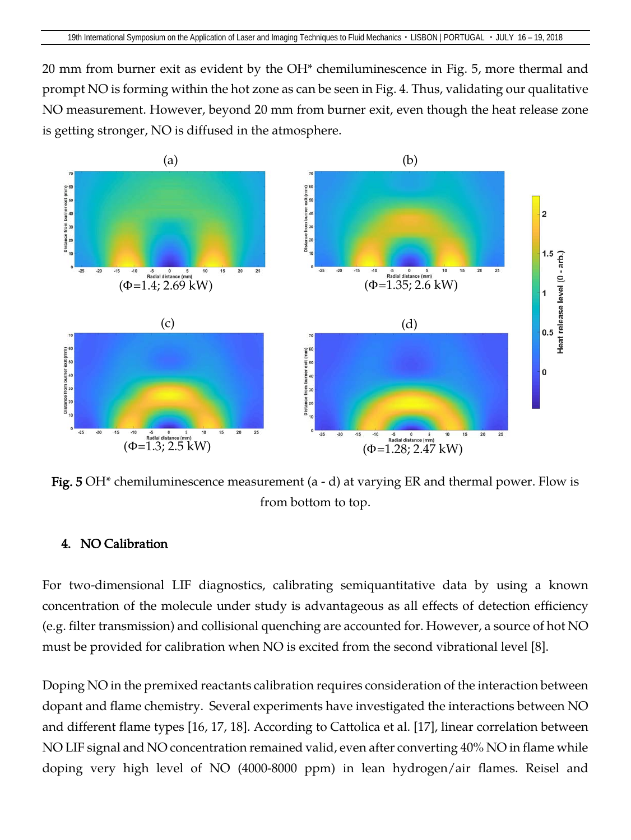20 mm from burner exit as evident by the OH\* chemiluminescence in Fig. 5, more thermal and prompt NO is forming within the hot zone as can be seen in Fig. 4. Thus, validating our qualitative NO measurement. However, beyond 20 mm from burner exit, even though the heat release zone is getting stronger, NO is diffused in the atmosphere.



**Fig. 5 OH**<sup>\*</sup> chemiluminescence measurement (a - d) at varying ER and thermal power. Flow is from bottom to top.

#### 4. NO Calibration

For two-dimensional LIF diagnostics, calibrating semiquantitative data by using a known concentration of the molecule under study is advantageous as all effects of detection efficiency (e.g. filter transmission) and collisional quenching are accounted for. However, a source of hot NO must be provided for calibration when NO is excited from the second vibrational level [8].

Doping NO in the premixed reactants calibration requires consideration of the interaction between dopant and flame chemistry. Several experiments have investigated the interactions between NO and different flame types [16, 17, 18]. According to Cattolica et al. [17], linear correlation between NO LIF signal and NO concentration remained valid, even after converting 40% NO in flame while doping very high level of NO (4000-8000 ppm) in lean hydrogen/air flames. Reisel and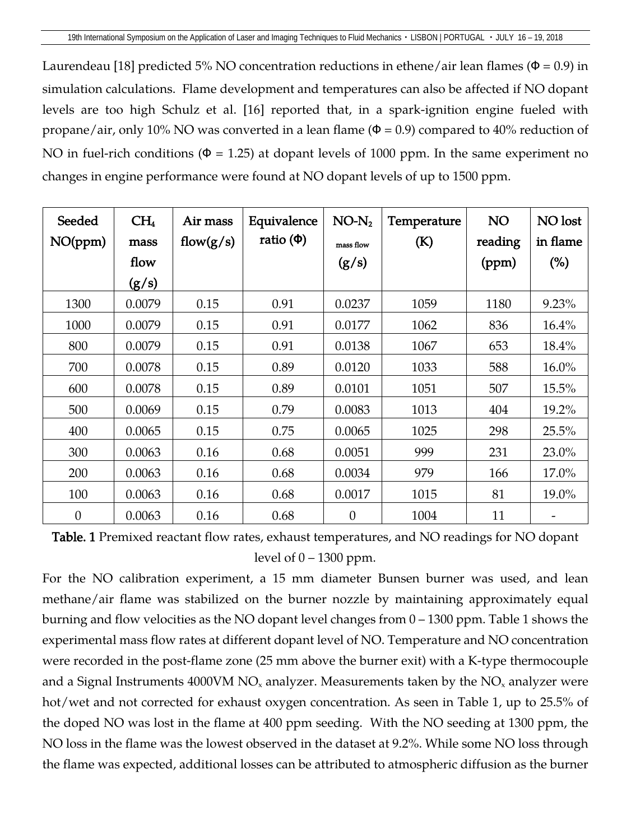Laurendeau [18] predicted 5% NO concentration reductions in ethene/air lean flames ( $\Phi$  = 0.9) in simulation calculations. Flame development and temperatures can also be affected if NO dopant levels are too high Schulz et al. [16] reported that, in a spark-ignition engine fueled with propane/air, only 10% NO was converted in a lean flame ( $\Phi$  = 0.9) compared to 40% reduction of NO in fuel-rich conditions ( $\Phi = 1.25$ ) at dopant levels of 1000 ppm. In the same experiment no changes in engine performance were found at NO dopant levels of up to 1500 ppm.

| Seeded<br>NO(ppm) | CH <sub>4</sub><br>mass | Air mass<br>flow $(g/s)$ | Equivalence<br>ratio $(\Phi)$ | $NO-N2$<br>mass flow | Temperature<br>(K) | NO<br>reading | NO lost<br>in flame |
|-------------------|-------------------------|--------------------------|-------------------------------|----------------------|--------------------|---------------|---------------------|
|                   | flow                    |                          |                               | (g/s)                |                    | (ppm)         | (%)                 |
|                   | (g/s)                   |                          |                               |                      |                    |               |                     |
| 1300              | 0.0079                  | 0.15                     | 0.91                          | 0.0237               | 1059               | 1180          | 9.23%               |
| 1000              | 0.0079                  | 0.15                     | 0.91                          | 0.0177               | 1062               | 836           | 16.4%               |
| 800               | 0.0079                  | 0.15                     | 0.91                          | 0.0138               | 1067               | 653           | 18.4%               |
| 700               | 0.0078                  | 0.15                     | 0.89                          | 0.0120               | 1033               | 588           | $16.0\%$            |
| 600               | 0.0078                  | 0.15                     | 0.89                          | 0.0101               | 1051               | 507           | 15.5%               |
| 500               | 0.0069                  | 0.15                     | 0.79                          | 0.0083               | 1013               | 404           | 19.2%               |
| 400               | 0.0065                  | 0.15                     | 0.75                          | 0.0065               | 1025               | 298           | 25.5%               |
| 300               | 0.0063                  | 0.16                     | 0.68                          | 0.0051               | 999                | 231           | 23.0%               |
| 200               | 0.0063                  | 0.16                     | 0.68                          | 0.0034               | 979                | 166           | 17.0%               |
| 100               | 0.0063                  | 0.16                     | 0.68                          | 0.0017               | 1015               | 81            | 19.0%               |
| $\boldsymbol{0}$  | 0.0063                  | 0.16                     | 0.68                          | $\boldsymbol{0}$     | 1004               | 11            |                     |

Table. 1 Premixed reactant flow rates, exhaust temperatures, and NO readings for NO dopant level of  $0 - 1300$  ppm.

For the NO calibration experiment, a 15 mm diameter Bunsen burner was used, and lean methane/air flame was stabilized on the burner nozzle by maintaining approximately equal burning and flow velocities as the NO dopant level changes from 0 – 1300 ppm. Table 1 shows the experimental mass flow rates at different dopant level of NO. Temperature and NO concentration were recorded in the post-flame zone (25 mm above the burner exit) with a K-type thermocouple and a Signal Instruments  $4000VM NO<sub>x</sub>$  analyzer. Measurements taken by the NO<sub>x</sub> analyzer were hot/wet and not corrected for exhaust oxygen concentration. As seen in Table 1, up to 25.5% of the doped NO was lost in the flame at 400 ppm seeding. With the NO seeding at 1300 ppm, the NO loss in the flame was the lowest observed in the dataset at 9.2%. While some NO loss through the flame was expected, additional losses can be attributed to atmospheric diffusion as the burner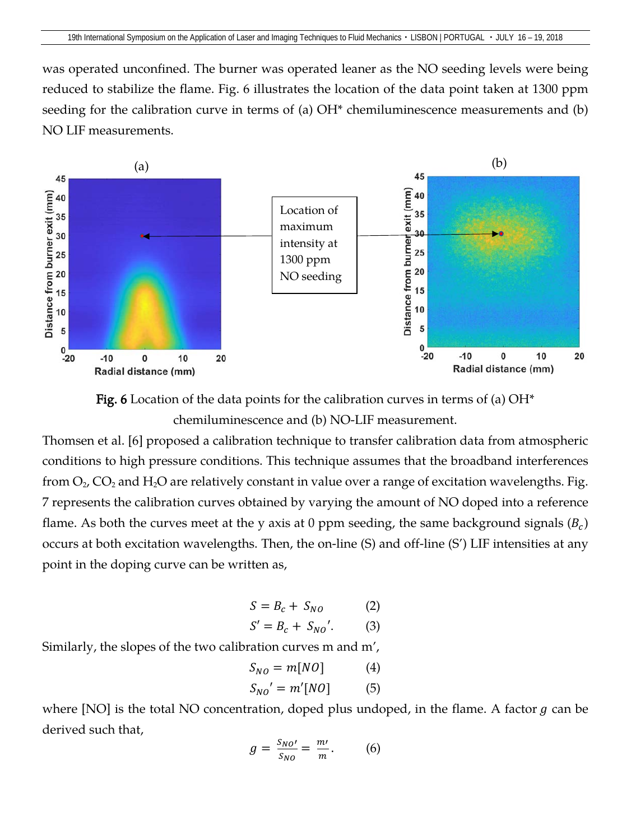was operated unconfined. The burner was operated leaner as the NO seeding levels were being reduced to stabilize the flame. Fig. 6 illustrates the location of the data point taken at 1300 ppm seeding for the calibration curve in terms of (a) OH\* chemiluminescence measurements and (b) NO LIF measurements.





Thomsen et al. [6] proposed a calibration technique to transfer calibration data from atmospheric conditions to high pressure conditions. This technique assumes that the broadband interferences from  $O_2$ ,  $CO_2$  and  $H_2O$  are relatively constant in value over a range of excitation wavelengths. Fig. 7 represents the calibration curves obtained by varying the amount of NO doped into a reference flame. As both the curves meet at the y axis at 0 ppm seeding, the same background signals  $(B<sub>c</sub>)$ occurs at both excitation wavelengths. Then, the on-line (S) and off-line (S') LIF intensities at any point in the doping curve can be written as,

$$
S = Bc + SNo \t (2)
$$
  

$$
S' = Bc + SNo'.
$$
 \t (3)

Similarly, the slopes of the two calibration curves m and m',

$$
S_{NO} = m[NO]
$$
 (4)  
\n
$$
S_{NO'} = m'[NO]
$$
 (5)

where [NO] is the total NO concentration, doped plus undoped, in the flame. A factor  $g$  can be derived such that,

$$
g = \frac{s_{NO'}}{s_{NO}} = \frac{m'}{m}.
$$
 (6)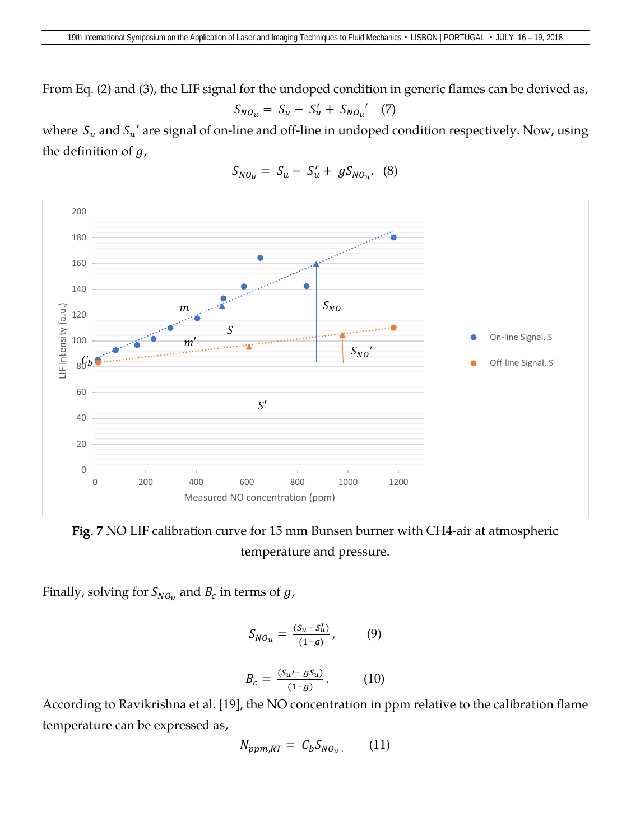From Eq. (2) and (3), the LIF signal for the undoped condition in generic flames can be derived as,

$$
S_{NO_{u}} = S_{u} - S'_{u} + S_{NO_{u}}' \quad (7)
$$

where  $S_u$  and  $S_u'$  are signal of on-line and off-line in undoped condition respectively. Now, using the definition of  $g$ ,

$$
S_{NO_{u}} = S_{u} - S'_{u} + g S_{NO_{u}}.
$$
 (8)



Fig. 7 NO LIF calibration curve for 15 mm Bunsen burner with CH4-air at atmospheric temperature and pressure.

Finally, solving for  $S_{NO_u}$  and  $B_c$  in terms of  $g$ ,

$$
S_{NO_{\mathcal{U}}} = \frac{(S_{\mathcal{U}} - S_{\mathcal{U}}')}{(1 - g)}, \tag{9}
$$

$$
B_c = \frac{(S_{u'} - gS_{u})}{(1 - g)}.
$$
 (10)

According to Ravikrishna et al. [19], the NO concentration in ppm relative to the calibration flame temperature can be expressed as,

$$
N_{ppm,RT} = C_b S_{NO_u}.
$$
 (11)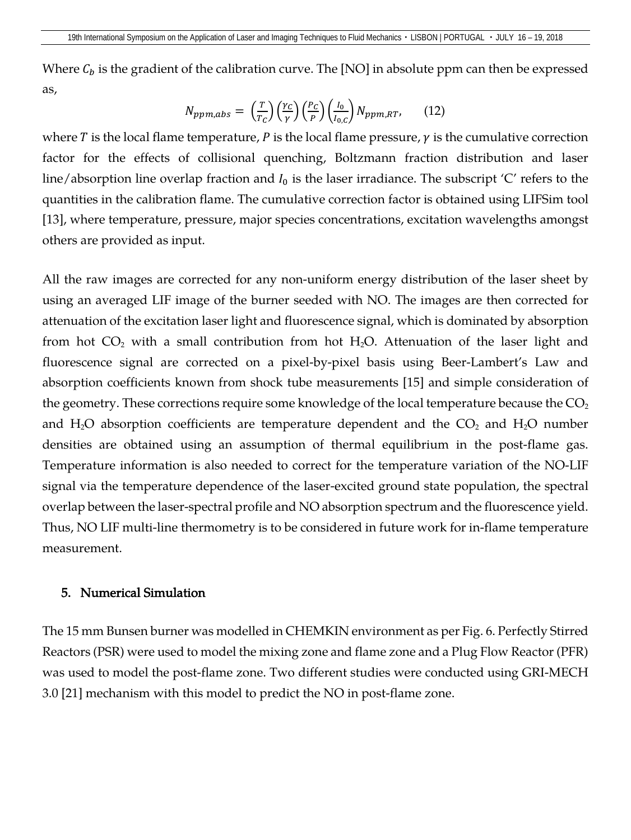Where  $C_b$  is the gradient of the calibration curve. The [NO] in absolute ppm can then be expressed as,

$$
N_{ppm,abs} = \left(\frac{r}{T_C}\right) \left(\frac{\gamma_C}{\gamma}\right) \left(\frac{P_C}{P}\right) \left(\frac{I_0}{I_{0,C}}\right) N_{ppm,RT}, \qquad (12)
$$

where T is the local flame temperature, P is the local flame pressure,  $\gamma$  is the cumulative correction factor for the effects of collisional quenching, Boltzmann fraction distribution and laser line/absorption line overlap fraction and  $I_0$  is the laser irradiance. The subscript 'C' refers to the quantities in the calibration flame. The cumulative correction factor is obtained using LIFSim tool [13], where temperature, pressure, major species concentrations, excitation wavelengths amongst others are provided as input.

All the raw images are corrected for any non-uniform energy distribution of the laser sheet by using an averaged LIF image of the burner seeded with NO. The images are then corrected for attenuation of the excitation laser light and fluorescence signal, which is dominated by absorption from hot  $CO<sub>2</sub>$  with a small contribution from hot H<sub>2</sub>O. Attenuation of the laser light and fluorescence signal are corrected on a pixel-by-pixel basis using Beer-Lambert's Law and absorption coefficients known from shock tube measurements [15] and simple consideration of the geometry. These corrections require some knowledge of the local temperature because the  $CO<sub>2</sub>$ and  $H_2O$  absorption coefficients are temperature dependent and the  $CO_2$  and  $H_2O$  number densities are obtained using an assumption of thermal equilibrium in the post-flame gas. Temperature information is also needed to correct for the temperature variation of the NO-LIF signal via the temperature dependence of the laser-excited ground state population, the spectral overlap between the laser-spectral profile and NO absorption spectrum and the fluorescence yield. Thus, NO LIF multi-line thermometry is to be considered in future work for in-flame temperature measurement.

#### 5. Numerical Simulation

The 15 mm Bunsen burner was modelled in CHEMKIN environment as per Fig. 6. Perfectly Stirred Reactors (PSR) were used to model the mixing zone and flame zone and a Plug Flow Reactor (PFR) was used to model the post-flame zone. Two different studies were conducted using GRI-MECH 3.0 [21] mechanism with this model to predict the NO in post-flame zone.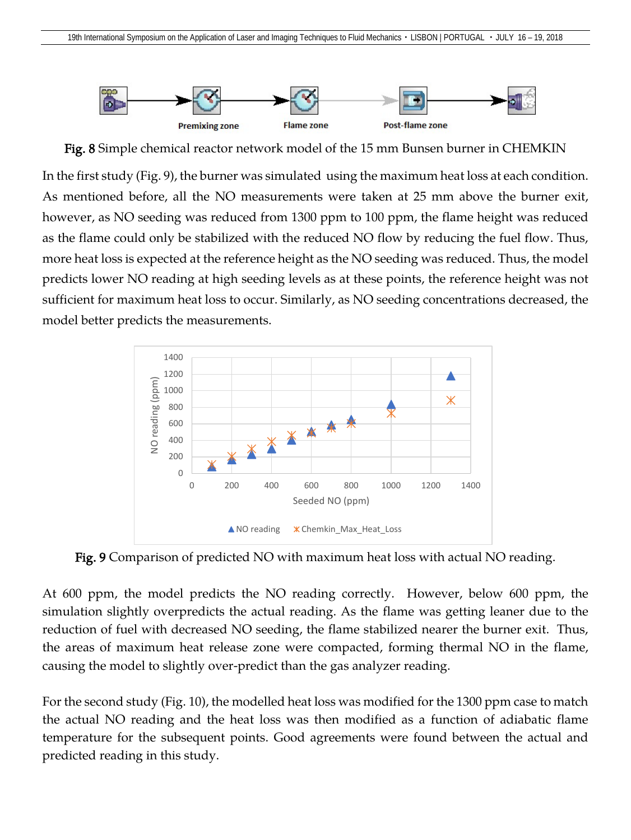

Fig. 8 Simple chemical reactor network model of the 15 mm Bunsen burner in CHEMKIN

In the first study (Fig. 9), the burner was simulated using the maximum heat loss at each condition. As mentioned before, all the NO measurements were taken at 25 mm above the burner exit, however, as NO seeding was reduced from 1300 ppm to 100 ppm, the flame height was reduced as the flame could only be stabilized with the reduced NO flow by reducing the fuel flow. Thus, more heat loss is expected at the reference height as the NO seeding was reduced. Thus, the model predicts lower NO reading at high seeding levels as at these points, the reference height was not sufficient for maximum heat loss to occur. Similarly, as NO seeding concentrations decreased, the model better predicts the measurements.



Fig. 9 Comparison of predicted NO with maximum heat loss with actual NO reading.

At 600 ppm, the model predicts the NO reading correctly. However, below 600 ppm, the simulation slightly overpredicts the actual reading. As the flame was getting leaner due to the reduction of fuel with decreased NO seeding, the flame stabilized nearer the burner exit. Thus, the areas of maximum heat release zone were compacted, forming thermal NO in the flame, causing the model to slightly over-predict than the gas analyzer reading.

For the second study (Fig. 10), the modelled heat loss was modified for the 1300 ppm case to match the actual NO reading and the heat loss was then modified as a function of adiabatic flame temperature for the subsequent points. Good agreements were found between the actual and predicted reading in this study.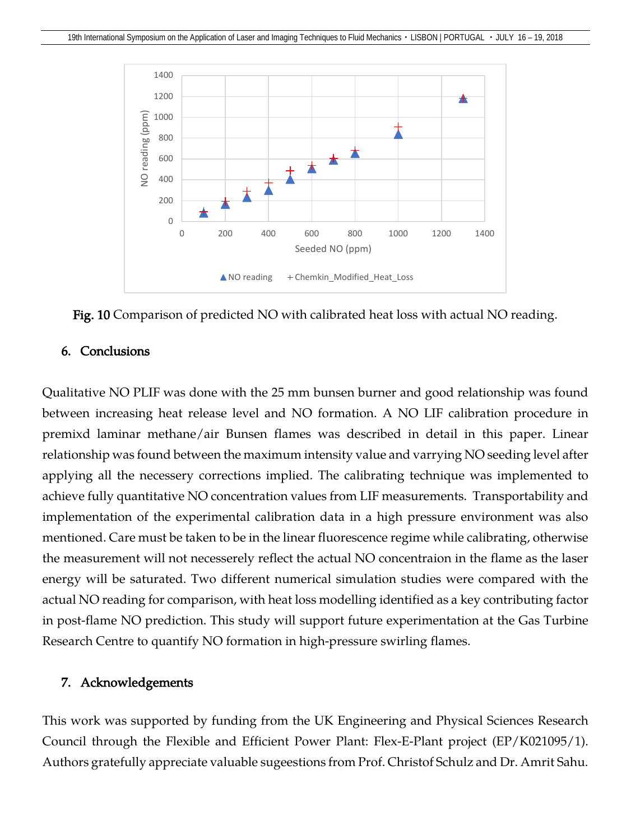

Fig. 10 Comparison of predicted NO with calibrated heat loss with actual NO reading.

#### 6. Conclusions

Qualitative NO PLIF was done with the 25 mm bunsen burner and good relationship was found between increasing heat release level and NO formation. A NO LIF calibration procedure in premixd laminar methane/air Bunsen flames was described in detail in this paper. Linear relationship was found between the maximum intensity value and varrying NO seeding level after applying all the necessery corrections implied. The calibrating technique was implemented to achieve fully quantitative NO concentration values from LIF measurements. Transportability and implementation of the experimental calibration data in a high pressure environment was also mentioned. Care must be taken to be in the linear fluorescence regime while calibrating, otherwise the measurement will not necesserely reflect the actual NO concentraion in the flame as the laser energy will be saturated. Two different numerical simulation studies were compared with the actual NO reading for comparison, with heat loss modelling identified as a key contributing factor in post-flame NO prediction. This study will support future experimentation at the Gas Turbine Research Centre to quantify NO formation in high-pressure swirling flames.

#### 7. Acknowledgements

This work was supported by funding from the UK Engineering and Physical Sciences Research Council through the Flexible and Efficient Power Plant: Flex-E-Plant project (EP/K021095/1). Authors gratefully appreciate valuable sugeestions from Prof. Christof Schulz and Dr. Amrit Sahu.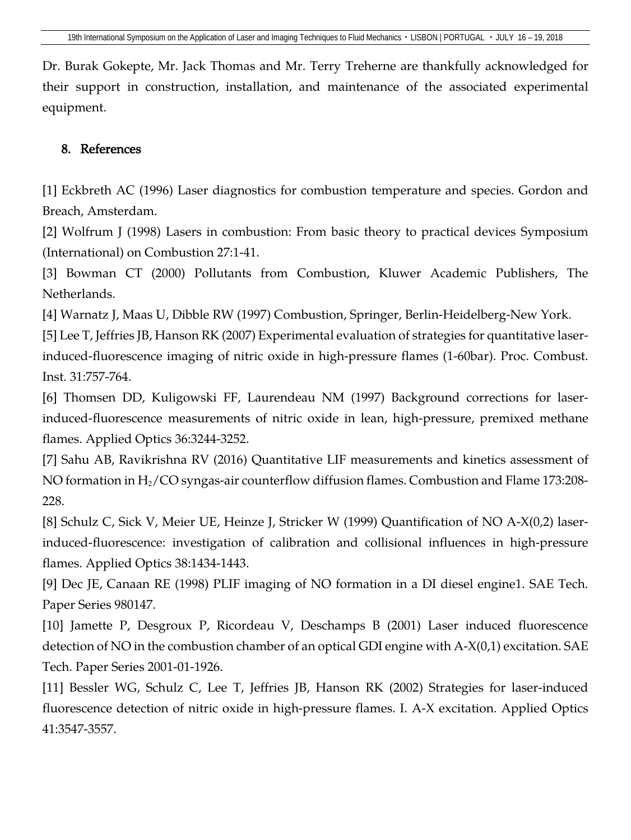Dr. Burak Gokepte, Mr. Jack Thomas and Mr. Terry Treherne are thankfully acknowledged for their support in construction, installation, and maintenance of the associated experimental equipment.

## 8. References

[1] Eckbreth AC (1996) Laser diagnostics for combustion temperature and species. Gordon and Breach, Amsterdam.

[2] Wolfrum J (1998) Lasers in combustion: From basic theory to practical devices Symposium (International) on Combustion 27:1-41.

[3] Bowman CT (2000) Pollutants from Combustion, Kluwer Academic Publishers, The Netherlands.

[4] Warnatz J, Maas U, Dibble RW (1997) Combustion, Springer, Berlin-Heidelberg-New York.

[5] Lee T, Jeffries JB, Hanson RK (2007) Experimental evaluation of strategies for quantitative laserinduced-fluorescence imaging of nitric oxide in high-pressure flames (1-60bar). Proc. Combust. Inst. 31:757-764.

[6] Thomsen DD, Kuligowski FF, Laurendeau NM (1997) Background corrections for laserinduced-fluorescence measurements of nitric oxide in lean, high-pressure, premixed methane flames. Applied Optics 36:3244-3252.

[7] Sahu AB, Ravikrishna RV (2016) Quantitative LIF measurements and kinetics assessment of NO formation in  $H_2$ /CO syngas-air counterflow diffusion flames. Combustion and Flame 173:208-228.

[8] Schulz C, Sick V, Meier UE, Heinze J, Stricker W (1999) Quantification of NO A-X(0,2) laserinduced-fluorescence: investigation of calibration and collisional influences in high-pressure flames. Applied Optics 38:1434-1443.

[9] Dec JE, Canaan RE (1998) PLIF imaging of NO formation in a DI diesel engine1. SAE Tech. Paper Series 980147.

[10] Jamette P, Desgroux P, Ricordeau V, Deschamps B (2001) Laser induced fluorescence detection of NO in the combustion chamber of an optical GDI engine with A-X(0,1) excitation. SAE Tech. Paper Series 2001-01-1926.

[11] Bessler WG, Schulz C, Lee T, Jeffries JB, Hanson RK (2002) Strategies for laser-induced fluorescence detection of nitric oxide in high-pressure flames. I. A-X excitation. Applied Optics 41:3547-3557.